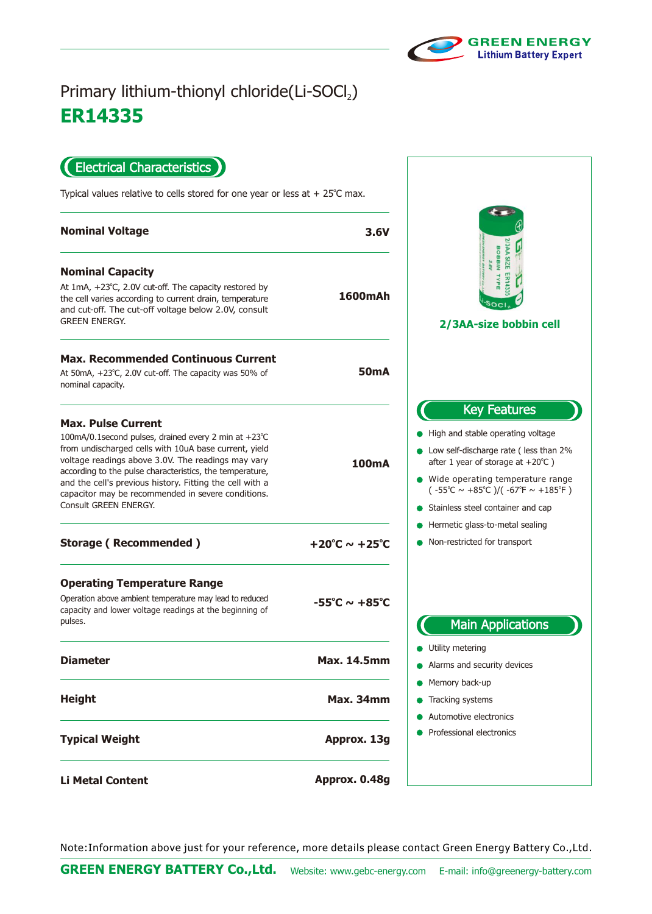

## **ER14335** Primary lithium-thionyl chloride(Li-SOCl<sub>2</sub>)

Electrical Characteristics

Typical values relative to cells stored for one year or less at  $+25^{\circ}$ C max.

| <b>Nominal Voltage</b>                                                                                                                                                                                                                                                                                                                                                                                  | 3.6V                              | $\epsilon$                                                                                                                                                                                                                                                                                                                                                         |
|---------------------------------------------------------------------------------------------------------------------------------------------------------------------------------------------------------------------------------------------------------------------------------------------------------------------------------------------------------------------------------------------------------|-----------------------------------|--------------------------------------------------------------------------------------------------------------------------------------------------------------------------------------------------------------------------------------------------------------------------------------------------------------------------------------------------------------------|
| <b>Nominal Capacity</b><br>At $1mA$ , $+23^{\circ}C$ , 2.0V cut-off. The capacity restored by<br>the cell varies according to current drain, temperature<br>and cut-off. The cut-off voltage below 2.0V, consult<br><b>GREEN ENERGY.</b>                                                                                                                                                                | 1600mAh                           | <b>3AA SIZE</b><br>poBBIN<br>2/3AA-size bobbin cell                                                                                                                                                                                                                                                                                                                |
| <b>Max. Recommended Continuous Current</b><br>At 50mA, +23°C, 2.0V cut-off. The capacity was 50% of<br>nominal capacity.                                                                                                                                                                                                                                                                                | <b>50mA</b>                       |                                                                                                                                                                                                                                                                                                                                                                    |
| <b>Max. Pulse Current</b><br>100mA/0.1second pulses, drained every 2 min at +23°C<br>from undischarged cells with 10uA base current, yield<br>voltage readings above 3.0V. The readings may vary<br>according to the pulse characteristics, the temperature,<br>and the cell's previous history. Fitting the cell with a<br>capacitor may be recommended in severe conditions.<br>Consult GREEN ENERGY. | <b>100mA</b>                      | <b>Key Features</b><br>High and stable operating voltage<br>Low self-discharge rate (less than 2%<br>after 1 year of storage at $+20^{\circ}$ C)<br>• Wide operating temperature range<br>$(-55^{\circ}\text{C} \sim +85^{\circ}\text{C})/(-67^{\circ}\text{F} \sim +185^{\circ}\text{F})$<br>Stainless steel container and cap<br>Hermetic glass-to-metal sealing |
| <b>Storage (Recommended)</b>                                                                                                                                                                                                                                                                                                                                                                            | +20°C $\sim$ +25°C                | Non-restricted for transport                                                                                                                                                                                                                                                                                                                                       |
| <b>Operating Temperature Range</b><br>Operation above ambient temperature may lead to reduced<br>capacity and lower voltage readings at the beginning of<br>pulses.                                                                                                                                                                                                                                     | $-55^{\circ}$ C ~ $+85^{\circ}$ C | <b>Main Applications</b>                                                                                                                                                                                                                                                                                                                                           |
| <b>Diameter</b>                                                                                                                                                                                                                                                                                                                                                                                         | <b>Max. 14.5mm</b>                | Utility metering<br>Alarms and security devices                                                                                                                                                                                                                                                                                                                    |
| <b>Height</b>                                                                                                                                                                                                                                                                                                                                                                                           | Max. 34mm                         | Memory back-up<br>• Tracking systems<br>Automotive electronics                                                                                                                                                                                                                                                                                                     |
| <b>Typical Weight</b>                                                                                                                                                                                                                                                                                                                                                                                   | Approx. 13g                       | Professional electronics                                                                                                                                                                                                                                                                                                                                           |
| <b>Li Metal Content</b>                                                                                                                                                                                                                                                                                                                                                                                 | Approx. 0.48g                     |                                                                                                                                                                                                                                                                                                                                                                    |

Note:Information above just for your reference, more details please contact Green Energy Battery Co.,Ltd.